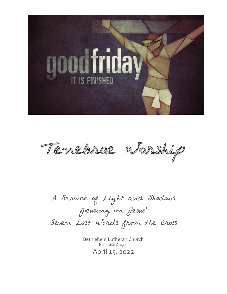

Tenebrae Worskip

A Service of Light and Shadows focusing on Jesus' Seven Last Words from the Cross

Bethlehem Lutheran Church Hermiston Oregon April 15, 2022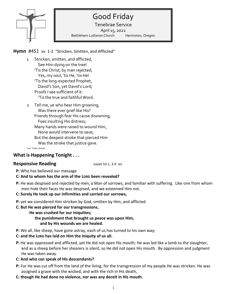

# Good Friday

Tenebrae Service April 15, 2022 Bethlehem Lutheran Church Hermiston, Oregon

# **Hymn** #451 vv. 1-2 "Stricken, Smitten, and Afflicted"

- 1 Stricken, smitten, and afflicted, See Him dying on the tree! 'Tis the Christ, by man rejected; Yes, my soul, 'tis He, 'tis He! 'Tis the long-expected Prophet, David's Son, yet David's Lord; Proofs I see sufficient of it: 'Tis the true and faithful Word.
- 2 Tell me, ye who hear Him groaning, Was there ever grief like His? Friends through fear His cause disowning, Foes insulting His distress; Many hands were raised to wound Him, None would intervene to save; But the deepest stroke that pierced Him Was the stroke that justice gave.

Text: Public domain

# **What is Happening Tonight . . .**

# **Responsive Reading ISA: ISA: ISA: ISA: ISA: 1, 3-9 NIV**

**P:** Who has believed our message

#### **C: And to whom has the arm of the LORD been revealed?**

**P:** He was despised and rejected by men, a Man of sorrows, and familiar with suffering. Like one from whom men hide their faces He was despised, and we esteemed Him not.

#### **C: Surely He took up our infirmities and carried our sorrows,**

**P:** yet we considered Him stricken by God, smitten by Him, and afflicted.

#### **C: But He was pierced for our transgressions,**

## **He was crushed for our iniquities;**

#### **the punishment that brought us peace was upon Him, and by His wounds we are healed.**

**P:** We all, like sheep, have gone astray, each of us has turned to his own way;

## **C: and the LORD has laid on Him the iniquity of us all.**

**P:** He was oppressed and afflicted, yet He did not open His mouth; He was led like a lamb to the slaughter, and as a sheep before her shearers is silent, so He did not open His mouth. By oppression and judgment He was taken away.

#### **C: And who can speak of His descendants?**

- **P:** For He was cut off from the land of the living; for the transgression of my people He was stricken. He was assigned a grave with the wicked, and with the rich in His death,
- **C: though He had done no violence, nor was any deceit in His mouth.**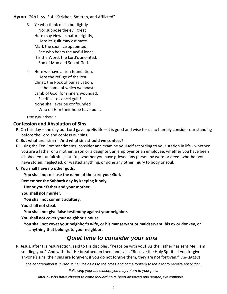**Hymn** #451 vv. 3-4 "Stricken, Smitten, and Afflicted"

- 3 Ye who think of sin but lightly Nor suppose the evil great Here may view its nature rightly, Here its guilt may estimate. Mark the sacrifice appointed, See who bears the awful load; 'Tis the Word, the Lord's anointed, Son of Man and Son of God.
- 4 Here we have a firm foundation, Here the refuge of the lost: Christ, the Rock of our salvation, Is the name of which we boast; Lamb of God, for sinners wounded, Sacrifice to cancel guilt! None shall ever be confounded Who on Him their hope have built.

Text: Public domain

# **Confession and Absolution of Sins**

**P:** On this day – the day our Lord gave up His life – it is good and wise for us to humbly consider our standing before the Lord and confess our sins.

#### **C: But what are "sins?" And what sins should we confess?**

**P:** Using the Ten Commandments, consider and examine yourself according to your station in life - whether you are a father or a mother, a son or a daughter, an employer or an employee; whether you have been disobedient, unfaithful, slothful; whether you have grieved any person by word or deed; whether you have stolen, neglected, or wasted anything, or done any other injury to body or soul.

#### **C: You shall have no other gods.**

**You shall not misuse the name of the Lord your God.**

#### **Remember the Sabbath day by keeping it holy.**

**Honor your father and your mother.**

**You shall not murder.**

**You shall not commit adultery.**

**You shall not steal.**

**You shall not give false testimony against your neighbor.**

**You shall not covet your neighbor's house.**

**You shall not covet your neighbor's wife, or his manservant or maidservant, his ox or donkey, or anything that belongs to your neighbor.**

# *Quiet time to consider your sins*

**P:** Jesus, after His resurrection, said to His disciples, "Peace be with you! As the Father has sent Me, I am sending you." And with that He breathed on them and said, "Receive the Holy Spirit. If you forgive anyone's sins, their sins are forgiven; if you do not forgive them, they are not forgiven." *John 20:21-23*

*The congregation is invited to nail their sins to the cross and come forward to the altar to receive absolution.* 

*Following your absolution, you may return to your pew.* 

*After all who have chosen to come forward have been absolved and seated, we continue . . .*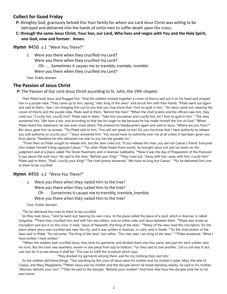#### **Collect for Good Friday**

- **P:** Almighty God, graciously behold this Your family for whom our Lord Jesus Christ was willing to be betrayed and delivered into the hands of sinful men to suffer death upon the cross;
- **C: through the same Jesus Christ, Your Son, our Lord, Who lives and reigns with You and the Holy Spirit, one God, now and forever. Amen.**

**Hymn** #456 v.1"Were You There?"

- 1 Were you there when they crucified my Lord?
	- Were you there when they crucified my Lord?
		- Oh . . . Sometimes it causes me to tremble, tremble, tremble.
		- Were you there when they crucified my Lord?

Text: Public domain

#### **The Passion of Jesus Christ**

**P:** The Passion of Our Lord Jesus Christ according to St. John, the 19th chapter.

Then Pilate took Jesus and flogged him. <sup>2</sup>And the soldiers twisted together a crown of thorns and put it on his head and arrayed him in a purple robe. <sup>3</sup>They came up to him, saying, "Hail, King of the Jews!" and struck him with their hands. <sup>4</sup>Pilate went out again and said to them, "See, I am bringing him out to you that you may know that I find no quilt in him." <sup>5</sup>So Jesus came out, wearing the crown of thorns and the purple robe. Pilate said to them, "Behold the man!" <sup>6</sup>When the chief priests and the officers saw him, they cried out, "Crucify him, crucify him!" Pilate said to them, "Take him yourselves and crucify him, for I find no guilt in him." <sup>7</sup>The Jews answered him, "We have a law, and according to that law he ought to die because he has made himself the Son of God." <sup>8</sup>When Pilate heard this statement, he was even more afraid. <sup>9</sup>He entered his headquarters again and said to Jesus, "Where are you from?" But Jesus gave him no answer. <sup>10</sup>So Pilate said to him, "You will not speak to me? Do you not know that I have authority to release you and authority to crucify you?" <sup>11</sup>Jesus answered him, "You would have no authority over me at all unless it had been given you from above. Therefore he who delivered me over to you has the greater sin."

 $12$ From then on Pilate sought to release him, but the Jews cried out, "If you release this man, you are not Caesar's friend. Everyone who makes himself a king opposes Caesar." <sup>13</sup>So when Pilate heard these words, he brought Jesus out and sat down on the judgment seat at a place called The Stone Pavement, and in Aramaic Gabbatha. <sup>14</sup>Now it was the day of Preparation of the Passover. It was about the sixth hour. He said to the Jews, "Behold your King!" <sup>15</sup>They cried out, "Away with him, away with him, crucify him!" Pilate said to them, "Shall I crucify your King?" The chief priests answered, "We have no king but Caesar." <sup>16</sup>So he delivered him over to them to be crucified.

#### **Hymn** #456 v.2"Were You There?"

2 Were you there when they nailed Him to the tree? Were you there when they nailed Him to the tree? Oh . . . Sometimes it causes me to tremble, tremble, tremble. Were you there when they nailed Him to the tree?

Text: Public domain

<sup>16</sup>So he delivered him over to them to be crucified.

So they took Jesus, <sup>17</sup>and he went out, bearing his own cross, to the place called the place of a skull, which in Aramaic is called Golgotha. <sup>18</sup>There they crucified him, and with him two others, one on either side, and Jesus between them. <sup>19</sup>Pilate also wrote an inscription and put it on the cross. It read, "Jesus of Nazareth, the King of the Jews." <sup>20</sup>Many of the Jews read this inscription, for the place where Jesus was crucified was near the city, and it was written in Aramaic, in Latin, and in Greek. <sup>21</sup>So the chief priests of the Jews said to Pilate, "Do not write, 'The King of the Jews,' but rather, 'This man said, I am King of the Jews.'" <sup>22</sup>Pilate answered, "What I have written I have written."

<sup>23</sup>When the soldiers had crucified Jesus, they took his garments and divided them into four parts, one part for each soldier; also his tunic. But the tunic was seamless, woven in one piece from top to bottom, <sup>24</sup>so they said to one another, "Let us not tear it, but cast lots for it to see whose it shall be." This was to fulfill the Scripture which says,

"They divided my garments among them, and for my clothing they cast lots."

So the soldiers did these things, <sup>25</sup>but standing by the cross of Jesus were his mother and his mother's sister, Mary the wife of Clopas, and Mary Magdalene. <sup>26</sup>When Jesus saw his mother and the disciple whom he loved standing nearby, he said to his mother, "Woman, behold, your son!" <sup>27</sup>Then he said to the disciple, "Behold, your mother!" And from that hour the disciple took her to his own home.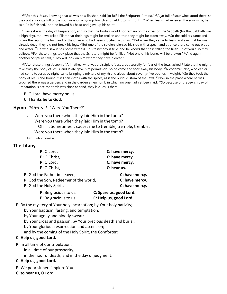$^{28}$ After this, Jesus, knowing that all was now finished, said (to fulfill the Scripture), "I thirst."  $^{29}A$  jar full of sour wine stood there, so they put a sponge full of the sour wine on a hyssop branch and held it to his mouth. <sup>30</sup>When Jesus had received the sour wine, he said, "It is finished," and he bowed his head and gave up his spirit.

 $31$ Since it was the day of Preparation, and so that the bodies would not remain on the cross on the Sabbath (for that Sabbath was a high day), the Jews asked Pilate that their legs might be broken and that they might be taken away. <sup>32</sup>So the soldiers came and broke the legs of the first, and of the other who had been crucified with him. <sup>33</sup>But when they came to Jesus and saw that he was already dead, they did not break his legs. <sup>34</sup>But one of the soldiers pierced his side with a spear, and at once there came out blood and water. <sup>35</sup>He who saw it has borne witness—his testimony is true, and he knows that he is telling the truth—that you also may believe. <sup>36</sup>For these things took place that the Scripture might be fulfilled: "Not one of his bones will be broken." <sup>37</sup>And again another Scripture says, "They will look on him whom they have pierced."

<sup>38</sup>After these things Joseph of Arimathea, who was a disciple of Jesus, but secretly for fear of the Jews, asked Pilate that he might take away the body of Jesus, and Pilate gave him permission. So he came and took away his body. <sup>39</sup>Nicodemus also, who earlier had come to Jesus by night, came bringing a mixture of myrrh and aloes, about seventy-five pounds in weight. <sup>40</sup>So they took the body of Jesus and bound it in linen cloths with the spices, as is the burial custom of the Jews. <sup>41</sup>Now in the place where he was crucified there was a garden, and in the garden a new tomb in which no one had yet been laid. <sup>42</sup>So because of the Jewish day of Preparation, since the tomb was close at hand, they laid Jesus there.

**P:** O Lord, have mercy on us.

# **C: Thanks be to God.**

#### **Hymn** #456 v. 3 "Were You There?"

3 Were you there when they laid Him in the tomb? Were you there when they laid Him in the tomb? Oh . . . Sometimes it causes me to tremble, tremble, tremble. Were you there when they laid Him in the tomb?

Text: Public domain

#### **The Litany**

| P: O Lord,                             | C: have mercy.          |
|----------------------------------------|-------------------------|
| P: O Christ,                           | C: have mercy.          |
| P: O Lord,                             | C: have mercy.          |
| P: O Christ,                           | C: hear us.             |
| P: God the Father in heaven,           | C: have mercy.          |
| P: God the Son, Redeemer of the world, | C: have mercy.          |
| P: God the Holy Spirit,                | C: have mercy.          |
| P: Be gracious to us.                  | C: Spare us, good Lord. |
| P: Be gracious to us.                  | C: Help us, good Lord.  |

**P:** By the mystery of Your holy incarnation; by Your holy nativity;

by Your baptism, fasting, and temptation;

by Your agony and bloody sweat;

by Your cross and passion; by Your precious death and burial;

by Your glorious resurrection and ascension;

and by the coming of the Holy Spirit, the Comforter:

#### **C: Help us, good Lord.**

**P:** In all time of our tribulation;

in all time of our prosperity;

in the hour of death; and in the day of judgment:

#### **C: Help us, good Lord.**

**P:** We poor sinners implore You

**C: to hear us, O Lord.**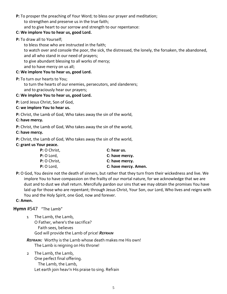# **P:** To prosper the preaching of Your Word; to bless our prayer and meditation;

to strengthen and preserve us in the true faith;

and to give heart to our sorrow and strength to our repentance:

#### **C: We implore You to hear us, good Lord.**

**P:** To draw all to Yourself;

to bless those who are instructed in the faith; to watch over and console the poor, the sick, the distressed, the lonely, the forsaken, the abandoned,

and all who stand in our need of prayers;

to give abundant blessing to all works of mercy;

and to have mercy on us all;

## **C: We implore You to hear us, good Lord.**

**P:** To turn our hearts to You;

to turn the hearts of our enemies, persecutors, and slanderers; and to graciously hear our prayers;

## **C: We implore You to hear us, good Lord.**

**P:** Lord Jesus Christ, Son of God,

- **C: we implore You to hear us.**
- **P:** Christ, the Lamb of God, Who takes away the sin of the world,

**C: have mercy.**

**P:** Christ, the Lamb of God, Who takes away the sin of the world,

**C: have mercy.**

**P:** Christ, the Lamb of God, Who takes away the sin of the world,

#### **C: grant us Your peace.**

| P: O Christ, | C: hear us.          |
|--------------|----------------------|
| P: O Lord,   | C: have mercy.       |
| P: O Christ, | C: have mercy.       |
| P: O Lord,   | C: have mercy. Amen. |

**P:** O God, You desire not the death of sinners, but rather that they turn from their wickedness and live. We implore You to have compassion on the frailty of our mortal nature, for we acknowledge that we are dust and to dust we shall return. Mercifully pardon our sins that we may obtain the promises You have laid up for those who are repentant; through Jesus Christ, Your Son, our Lord, Who lives and reigns with You and the Holy Spirit, one God, now and forever.

#### **C: Amen.**

## **Hymn** #547 "The Lamb"

- 1 The Lamb, the Lamb, O Father, where's the sacrifice? Faith sees, believes God will provide the Lamb of price! *REFRAIN*
- *REFRAIN:* Worthy is the Lamb whose death makes me His own! The Lamb is reigning on His throne!
- 2 The Lamb, the Lamb, One perfect final offering. The Lamb, the Lamb, Let earth join heav'n His praise to sing. Refrain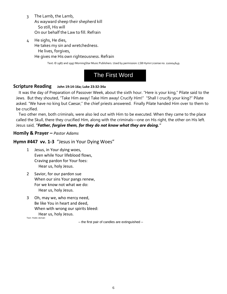- 3 The Lamb, the Lamb, As wayward sheep their shepherd kill So still, His will On our behalf the Law to fill. Refrain
- 4 He sighs, He dies, He takes my sin and wretchedness. He lives, forgives, He gives me His own righteousness. Refrain

Text: © 1987 and 1997 MorningStar Music Publishers. Used by permission: LSB Hymn License no. 110004649



#### **Scripture Reading John 19:14-16a; Luke 23:32-34a**

It was the day of Preparation of Passover Week, about the sixth hour. "Here is your king," Pilate said to the Jews. But they shouted, "Take Him away! Take Him away! Crucify Him!" "Shall I crucify your king?" Pilate asked. "We have no king but Caesar," the chief priests answered. Finally Pilate handed Him over to them to be crucified.

Two other men, both criminals, were also led out with Him to be executed. When they came to the place called the Skull, there they crucified Him, along with the criminals—one on His right, the other on His left. Jesus said, *"Father, forgive them, for they do not know what they are doing."* 

#### **Homily & Prayer –** *Pastor Adams*

**Hymn #447 vv. 1-3** "Jesus in Your Dying Woes"

- 1 Jesus, in Your dying woes, Even while Your lifeblood flows, Craving pardon for Your foes: Hear us, holy Jesus.
- 2 Savior, for our pardon sue When our sins Your pangs renew, For we know not what we do: Hear us, holy Jesus.
- 3 Oh, may we, who mercy need, Be like You in heart and deed, When with wrong our spirits bleed: Hear us, holy Jesus.

Text: Public domain

– the first pair of candles are extinguished –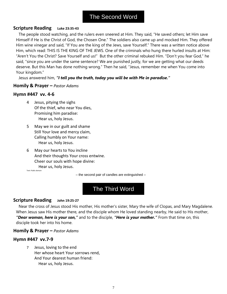# The Second Word

## **Scripture Reading Luke 23:35-43**

The people stood watching, and the rulers even sneered at Him. They said, "He saved others; let Him save Himself if He is the Christ of God, the Chosen One." The soldiers also came up and mocked Him. They offered Him wine vinegar and said, "If You are the king of the Jews, save Yourself." There was a written notice above Him, which read: THIS IS THE KING OF THE JEWS. One of the criminals who hung there hurled insults at Him: "Aren't You the Christ? Save Yourself and us!" But the other criminal rebuked Him. "Don't you fear God," he said, "since you are under the same sentence? We are punished justly, for we are getting what our deeds deserve. But this Man has done nothing wrong." Then he said, "Jesus, remember me when You come into Your kingdom."

Jesus answered him, *"I tell you the truth, today you will be with Me in paradise."* 

## **Homily & Prayer –** *Pastor Adams*

# **Hymn #447 vv. 4-6**

- 4 Jesus, pitying the sighs Of the thief, who near You dies, Promising him paradise: Hear us, holy Jesus.
- 5 May we in our guilt and shame Still Your love and mercy claim, Calling humbly on Your name: Hear us, holy Jesus.
- 6 May our hearts to You incline And their thoughts Your cross entwine. Cheer our souls with hope divine:

 Hear us, holy Jesus. Text: Public domain

– the second pair of candles are extinguished –

# The Third Word

## **Scripture Reading John 19:25-27**

Near the cross of Jesus stood His mother, His mother's sister, Mary the wife of Clopas, and Mary Magdalene. When Jesus saw His mother there, and the disciple whom He loved standing nearby, He said to His mother, *"Dear woman, here is your son,"* and to the disciple, *"Here is your mother."* From that time on, this disciple took her into his home.

## **Homily & Prayer –** *Pastor Adams*

## **Hymn #447 vv.7-9**

7 Jesus, loving to the end Her whose heart Your sorrows rend, And Your dearest human friend: Hear us, holy Jesus.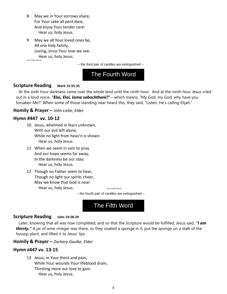- 8 May we in Your sorrows share, For Your sake all peril dare, And enjoy Your tender care: Hear us, holy Jesus.
- 9 May we all Your loved ones be, All one holy family, Loving, since Your love we see: Hear us, holy Jesus.

Text: Public domain

– the third pair of candles are extinguished –

# The Fourth Word

#### **Scripture Reading Mark 15:33-35**

At the sixth hour darkness came over the whole land until the ninth hour. And at the ninth hour Jesus cried out in a loud voice, *"Eloi, Eloi, lama sabachthani?***"**—which means, "My God, my God, why have you forsaken Me?" When some of those standing near heard this, they said, "Listen, He's calling Elijah."

#### **Homily & Prayer –** *John Liebe, Elder*

#### **Hymn #447 vv. 10-12**

- 10 Jesus, whelmed in fears unknown, With our evil left alone, While no light from heav'n is shown: Hear us, holy Jesus.
- 11 When we seem in vain to pray And our hope seems far away, In the darkness be our stay: Hear us, holy Jesus.
- 12 Though no Father seem to hear, Though no light our spirits cheer, May we know that God is near: Hear us, holy Jesus. The Matter of Text: Public domain

– the fourth pair of candles are extinguished –

The Fifth Word

#### **Scripture Reading John 19:28-29**

Later, knowing that all was now completed, and so that the Scripture would be fulfilled, Jesus said, *"I am thirsty."* A jar of wine vinegar was there, so they soaked a sponge in it, put the sponge on a stalk of the hyssop plant, and lifted it to Jesus' lips.

#### **Homily & Prayer –** *Zachary Gaulke, Elder*

#### **Hymn #447 vv. 13-15**

13 Jesus, in Your thirst and pain, While Your wounds Your lifeblood drain, Thirsting more our love to gain: Hear us, holy Jesus.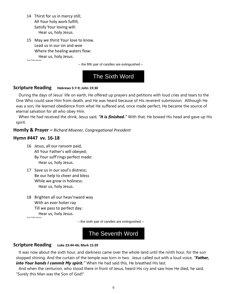- 14 Thirst for us in mercy still; All Your holy work fulfill; Satisfy Your loving will: Hear us, holy Jesus.
- 15 May we thirst Your love to know. Lead us in our sin and woe Where the healing waters flow: Hear us, holy Jesus.

Text: Public domain

– the fifth pair of candles are extinguished –



#### **Scripture Reading Hebrews 5:7-9; John 19:30**

During the days of Jesus' life on earth, He offered up prayers and petitions with loud cries and tears to the One Who could save Him from death, and He was heard because of His reverent submission. Although He was a son, He learned obedience from what He suffered and, once made perfect, He became the source of eternal salvation for all who obey Him.

When He had received the drink, Jesus said, *"It is finished."* With that, He bowed His head and gave up His spirit.

**Homily & Prayer –** *Richard Misener, Congregational President*

#### **Hymn #447 vv. 16-18**

- 16 Jesus, all our ransom paid, All Your Father's will obeyed; By Your suff'rings perfect made: Hear us, holy Jesus.
- 17 Save us in our soul's distress; Be our help to cheer and bless While we grow in holiness: Hear us, holy Jesus.
- 18 Brighten all our heav'nward way With an ever holier ray Till we pass to perfect day: Hear us, holy Jesus.

Text: Public domain

– the sixth pair of candles are extinguished –

# The Seventh Word

#### **Scripture Reading Luke 23:44-46; Mark 15:39**

It was now about the sixth hour, and darkness came over the whole land until the ninth hour, for the sun stopped shining. And the curtain of the temple was torn in two. Jesus called out with a loud voice, *"Father, into Your hands I commit My spirit."* When He had said this, He breathed His last.

And when the centurion, who stood there in front of Jesus, heard His cry and saw how He died, he said, "Surely this Man was the Son of God!"